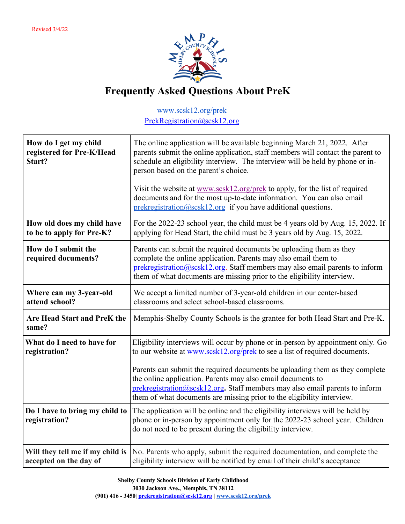

## **Frequently Asked Questions About PreK**

## www.scsk12.org/prek PrekRegistration@scsk12.org

| How do I get my child<br>registered for Pre-K/Head<br>Start? | The online application will be available beginning March 21, 2022. After<br>parents submit the online application, staff members will contact the parent to<br>schedule an eligibility interview. The interview will be held by phone or in-<br>person based on the parent's choice.            |
|--------------------------------------------------------------|-------------------------------------------------------------------------------------------------------------------------------------------------------------------------------------------------------------------------------------------------------------------------------------------------|
|                                                              | Visit the website at www.scsk12.org/prek to apply, for the list of required<br>documents and for the most up-to-date information. You can also email<br>prekregistration@scsk12.org if you have additional questions.                                                                           |
| How old does my child have<br>to be to apply for Pre-K?      | For the 2022-23 school year, the child must be 4 years old by Aug. 15, 2022. If<br>applying for Head Start, the child must be 3 years old by Aug. 15, 2022.                                                                                                                                     |
| How do I submit the<br>required documents?                   | Parents can submit the required documents be uploading them as they<br>complete the online application. Parents may also email them to<br>prekregistration@scsk12.org. Staff members may also email parents to inform<br>them of what documents are missing prior to the eligibility interview. |
| Where can my 3-year-old<br>attend school?                    | We accept a limited number of 3-year-old children in our center-based<br>classrooms and select school-based classrooms.                                                                                                                                                                         |
| Are Head Start and PreK the<br>same?                         | Memphis-Shelby County Schools is the grantee for both Head Start and Pre-K.                                                                                                                                                                                                                     |
| What do I need to have for<br>registration?                  | Eligibility interviews will occur by phone or in-person by appointment only. Go<br>to our website at www.scsk12.org/prek to see a list of required documents.<br>Parents can submit the required documents be uploading them as they complete                                                   |
|                                                              | the online application. Parents may also email documents to<br>$prekregistration@scsk12.org$ . Staff members may also email parents to inform<br>them of what documents are missing prior to the eligibility interview.                                                                         |
| Do I have to bring my child to<br>registration?              | The application will be online and the eligibility interviews will be held by<br>phone or in-person by appointment only for the 2022-23 school year. Children<br>do not need to be present during the eligibility interview.                                                                    |
| Will they tell me if my child is<br>accepted on the day of   | No. Parents who apply, submit the required documentation, and complete the<br>eligibility interview will be notified by email of their child's acceptance                                                                                                                                       |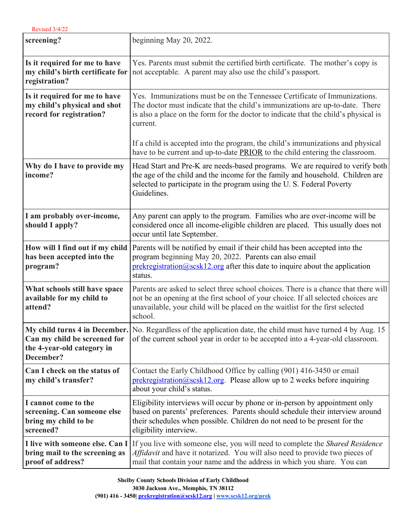**R** Revised 3/4/22

| screening?                                                                                | beginning May 20, 2022.                                                                                                                                                                                                                                              |
|-------------------------------------------------------------------------------------------|----------------------------------------------------------------------------------------------------------------------------------------------------------------------------------------------------------------------------------------------------------------------|
| Is it required for me to have<br>my child's birth certificate for<br>registration?        | Yes. Parents must submit the certified birth certificate. The mother's copy is<br>not acceptable. A parent may also use the child's passport.                                                                                                                        |
| Is it required for me to have<br>my child's physical and shot<br>record for registration? | Yes. Immunizations must be on the Tennessee Certificate of Immunizations.<br>The doctor must indicate that the child's immunizations are up-to-date. There<br>is also a place on the form for the doctor to indicate that the child's physical is<br>current.        |
|                                                                                           | If a child is accepted into the program, the child's immunizations and physical<br>have to be current and up-to-date <b>PRIOR</b> to the child entering the classroom.                                                                                               |
| Why do I have to provide my<br>income?                                                    | Head Start and Pre-K are needs-based programs. We are required to verify both<br>the age of the child and the income for the family and household. Children are<br>selected to participate in the program using the U.S. Federal Poverty<br>Guidelines.              |
| I am probably over-income,<br>should I apply?                                             | Any parent can apply to the program. Families who are over-income will be<br>considered once all income-eligible children are placed. This usually does not<br>occur until late September.                                                                           |
| How will I find out if my child<br>has been accepted into the<br>program?                 | Parents will be notified by email if their child has been accepted into the<br>program beginning May 20, 2022. Parents can also email<br>$prekregistration@scsk12.org$ after this date to inquire about the application<br>status.                                   |
| What schools still have space<br>available for my child to<br>attend?                     | Parents are asked to select three school choices. There is a chance that there will<br>not be an opening at the first school of your choice. If all selected choices are<br>unavailable, your child will be placed on the waitlist for the first selected<br>school. |
| Can my child be screened for<br>the 4-year-old category in<br>December?                   | My child turns 4 in December. No. Regardless of the application date, the child must have turned 4 by Aug. 15<br>of the current school year in order to be accepted into a 4-year-old classroom.                                                                     |
| Can I check on the status of<br>my child's transfer?                                      | Contact the Early Childhood Office by calling (901) 416-3450 or email<br>$prekregistration@scsk12.org$ . Please allow up to 2 weeks before inquiring<br>about your child's status.                                                                                   |
| I cannot come to the<br>screening. Can someone else<br>bring my child to be<br>screened?  | Eligibility interviews will occur by phone or in-person by appointment only<br>based on parents' preferences. Parents should schedule their interview around<br>their schedules when possible. Children do not need to be present for the<br>eligibility interview.  |
| I live with someone else. Can I<br>bring mail to the screening as<br>proof of address?    | If you live with someone else, you will need to complete the <i>Shared Residence</i><br>Affidavit and have it notarized. You will also need to provide two pieces of<br>mail that contain your name and the address in which you share. You can                      |